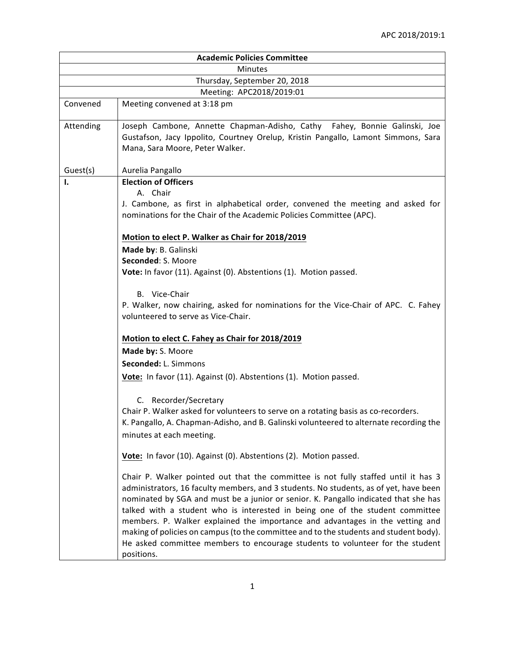|                              | <b>Academic Policies Committee</b>                                                                                                                                                                                                                                                                                                                                                                                                                                                                                                                                                                                           |  |
|------------------------------|------------------------------------------------------------------------------------------------------------------------------------------------------------------------------------------------------------------------------------------------------------------------------------------------------------------------------------------------------------------------------------------------------------------------------------------------------------------------------------------------------------------------------------------------------------------------------------------------------------------------------|--|
| <b>Minutes</b>               |                                                                                                                                                                                                                                                                                                                                                                                                                                                                                                                                                                                                                              |  |
| Thursday, September 20, 2018 |                                                                                                                                                                                                                                                                                                                                                                                                                                                                                                                                                                                                                              |  |
|                              | Meeting: APC2018/2019:01                                                                                                                                                                                                                                                                                                                                                                                                                                                                                                                                                                                                     |  |
| Convened                     | Meeting convened at 3:18 pm                                                                                                                                                                                                                                                                                                                                                                                                                                                                                                                                                                                                  |  |
| Attending                    | Joseph Cambone, Annette Chapman-Adisho, Cathy Fahey, Bonnie Galinski, Joe<br>Gustafson, Jacy Ippolito, Courtney Orelup, Kristin Pangallo, Lamont Simmons, Sara<br>Mana, Sara Moore, Peter Walker.                                                                                                                                                                                                                                                                                                                                                                                                                            |  |
| Guest(s)                     | Aurelia Pangallo                                                                                                                                                                                                                                                                                                                                                                                                                                                                                                                                                                                                             |  |
| I.                           | <b>Election of Officers</b><br>A. Chair<br>J. Cambone, as first in alphabetical order, convened the meeting and asked for<br>nominations for the Chair of the Academic Policies Committee (APC).                                                                                                                                                                                                                                                                                                                                                                                                                             |  |
|                              | Motion to elect P. Walker as Chair for 2018/2019                                                                                                                                                                                                                                                                                                                                                                                                                                                                                                                                                                             |  |
|                              | Made by: B. Galinski                                                                                                                                                                                                                                                                                                                                                                                                                                                                                                                                                                                                         |  |
|                              | Seconded: S. Moore                                                                                                                                                                                                                                                                                                                                                                                                                                                                                                                                                                                                           |  |
|                              | Vote: In favor (11). Against (0). Abstentions (1). Motion passed.                                                                                                                                                                                                                                                                                                                                                                                                                                                                                                                                                            |  |
|                              | B. Vice-Chair                                                                                                                                                                                                                                                                                                                                                                                                                                                                                                                                                                                                                |  |
|                              | P. Walker, now chairing, asked for nominations for the Vice-Chair of APC. C. Fahey<br>volunteered to serve as Vice-Chair.                                                                                                                                                                                                                                                                                                                                                                                                                                                                                                    |  |
|                              | Motion to elect C. Fahey as Chair for 2018/2019                                                                                                                                                                                                                                                                                                                                                                                                                                                                                                                                                                              |  |
|                              | Made by: S. Moore                                                                                                                                                                                                                                                                                                                                                                                                                                                                                                                                                                                                            |  |
|                              |                                                                                                                                                                                                                                                                                                                                                                                                                                                                                                                                                                                                                              |  |
|                              | Seconded: L. Simmons                                                                                                                                                                                                                                                                                                                                                                                                                                                                                                                                                                                                         |  |
|                              | Vote: In favor (11). Against (0). Abstentions (1). Motion passed.                                                                                                                                                                                                                                                                                                                                                                                                                                                                                                                                                            |  |
|                              | C. Recorder/Secretary<br>Chair P. Walker asked for volunteers to serve on a rotating basis as co-recorders.<br>K. Pangallo, A. Chapman-Adisho, and B. Galinski volunteered to alternate recording the<br>minutes at each meeting.                                                                                                                                                                                                                                                                                                                                                                                            |  |
|                              | Vote: In favor (10). Against (0). Abstentions (2). Motion passed.                                                                                                                                                                                                                                                                                                                                                                                                                                                                                                                                                            |  |
|                              | Chair P. Walker pointed out that the committee is not fully staffed until it has 3<br>administrators, 16 faculty members, and 3 students. No students, as of yet, have been<br>nominated by SGA and must be a junior or senior. K. Pangallo indicated that she has<br>talked with a student who is interested in being one of the student committee<br>members. P. Walker explained the importance and advantages in the vetting and<br>making of policies on campus (to the committee and to the students and student body).<br>He asked committee members to encourage students to volunteer for the student<br>positions. |  |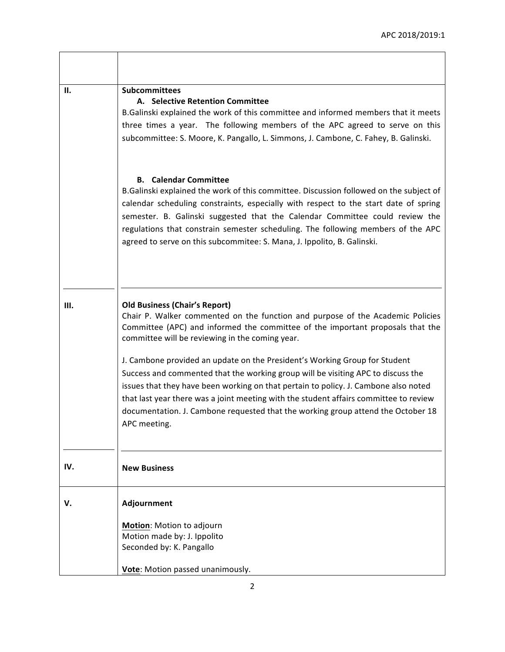$\overline{\phantom{a}}$ 

| П.  | <b>Subcommittees</b><br>A. Selective Retention Committee<br>B.Galinski explained the work of this committee and informed members that it meets<br>three times a year. The following members of the APC agreed to serve on this<br>subcommittee: S. Moore, K. Pangallo, L. Simmons, J. Cambone, C. Fahey, B. Galinski.                                                                                                                                            |
|-----|------------------------------------------------------------------------------------------------------------------------------------------------------------------------------------------------------------------------------------------------------------------------------------------------------------------------------------------------------------------------------------------------------------------------------------------------------------------|
|     | <b>Calendar Committee</b><br>В.<br>B.Galinski explained the work of this committee. Discussion followed on the subject of<br>calendar scheduling constraints, especially with respect to the start date of spring<br>semester. B. Galinski suggested that the Calendar Committee could review the<br>regulations that constrain semester scheduling. The following members of the APC<br>agreed to serve on this subcommitee: S. Mana, J. Ippolito, B. Galinski. |
|     |                                                                                                                                                                                                                                                                                                                                                                                                                                                                  |
| Ш.  | <b>Old Business (Chair's Report)</b><br>Chair P. Walker commented on the function and purpose of the Academic Policies<br>Committee (APC) and informed the committee of the important proposals that the<br>committee will be reviewing in the coming year.                                                                                                                                                                                                      |
|     | J. Cambone provided an update on the President's Working Group for Student<br>Success and commented that the working group will be visiting APC to discuss the<br>issues that they have been working on that pertain to policy. J. Cambone also noted<br>that last year there was a joint meeting with the student affairs committee to review<br>documentation. J. Cambone requested that the working group attend the October 18<br>APC meeting.               |
| IV. | <b>New Business</b>                                                                                                                                                                                                                                                                                                                                                                                                                                              |
| v.  | Adjournment                                                                                                                                                                                                                                                                                                                                                                                                                                                      |
|     | Motion: Motion to adjourn<br>Motion made by: J. Ippolito<br>Seconded by: K. Pangallo                                                                                                                                                                                                                                                                                                                                                                             |
|     | Vote: Motion passed unanimously.                                                                                                                                                                                                                                                                                                                                                                                                                                 |

 $\overline{\Gamma}$